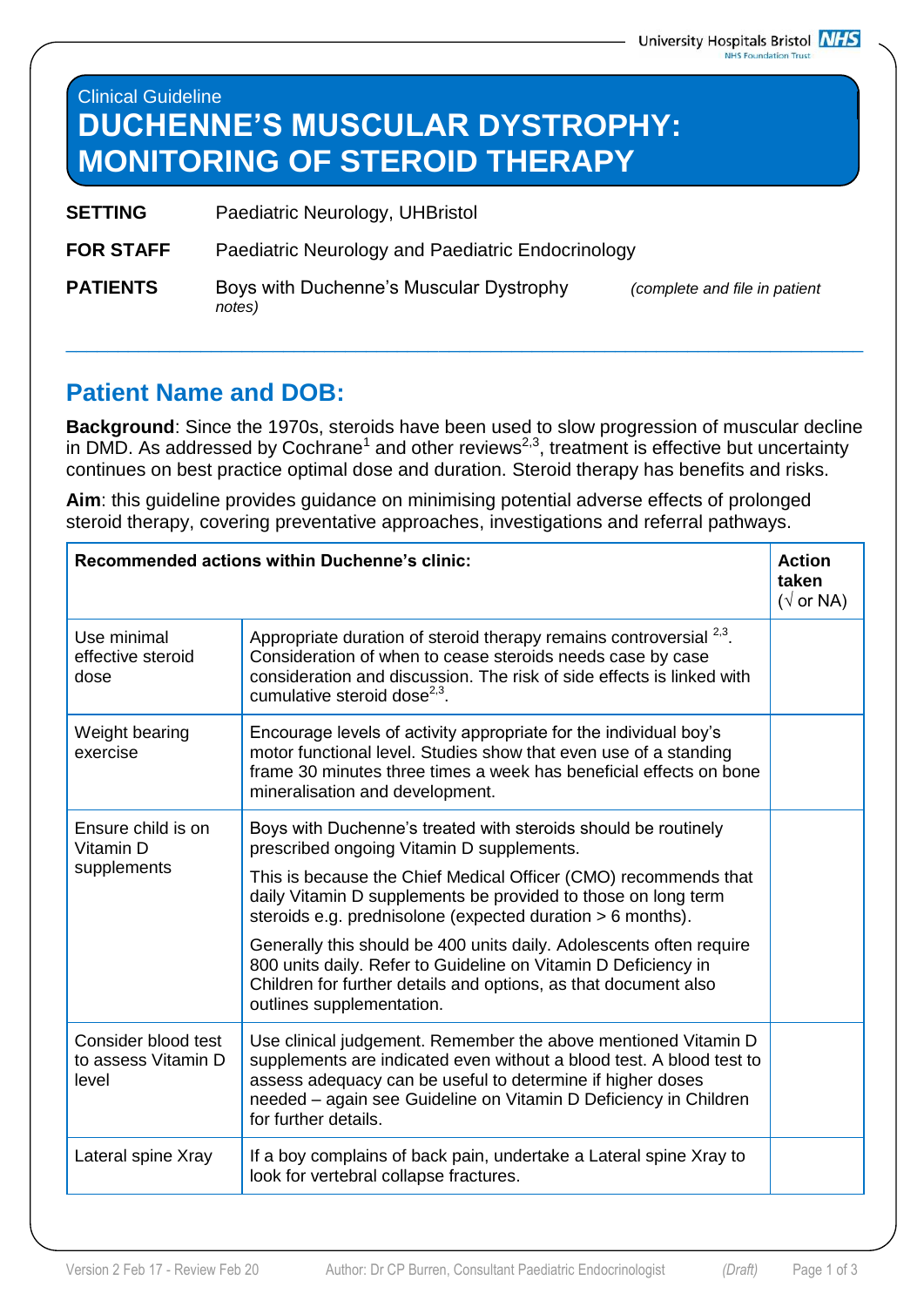## Clinical Guideline **DUCHENNE'S MUSCULAR DYSTROPHY: MONITORING OF STEROID THERAPY**

- **SETTING** Paediatric Neurology, UHBristol
- **FOR STAFF** Paediatric Neurology and Paediatric Endocrinology
- **PATIENTS** Boys with Duchenne's Muscular Dystrophy *(complete and file in patient notes)*

\_\_\_\_\_\_\_\_\_\_\_\_\_\_\_\_\_\_\_\_\_\_\_\_\_\_\_\_\_\_\_\_\_\_\_\_\_\_\_\_\_\_\_\_\_\_\_\_\_\_\_\_\_\_\_\_\_\_\_\_\_\_\_\_\_\_\_\_\_\_\_\_\_\_\_\_\_

## **Patient Name and DOB:**

**Background**: Since the 1970s, steroids have been used to slow progression of muscular decline in DMD. As addressed by Cochrane<sup>1</sup> and other reviews<sup>2,3</sup>, treatment is effective but uncertainty continues on best practice optimal dose and duration. Steroid therapy has benefits and risks.

**Aim**: this guideline provides guidance on minimising potential adverse effects of prolonged steroid therapy, covering preventative approaches, investigations and referral pathways.

| <b>Recommended actions within Duchenne's clinic:</b> |                                                                                                                                                                                                                                                                                                               | <b>Action</b><br>taken<br>$(\sqrt{or NA})$ |
|------------------------------------------------------|---------------------------------------------------------------------------------------------------------------------------------------------------------------------------------------------------------------------------------------------------------------------------------------------------------------|--------------------------------------------|
| Use minimal<br>effective steroid<br>dose             | Appropriate duration of steroid therapy remains controversial <sup>2,3</sup> .<br>Consideration of when to cease steroids needs case by case<br>consideration and discussion. The risk of side effects is linked with<br>cumulative steroid dose $^{2,3}$ .                                                   |                                            |
| Weight bearing<br>exercise                           | Encourage levels of activity appropriate for the individual boy's<br>motor functional level. Studies show that even use of a standing<br>frame 30 minutes three times a week has beneficial effects on bone<br>mineralisation and development.                                                                |                                            |
| Ensure child is on<br>Vitamin D<br>supplements       | Boys with Duchenne's treated with steroids should be routinely<br>prescribed ongoing Vitamin D supplements.<br>This is because the Chief Medical Officer (CMO) recommends that<br>daily Vitamin D supplements be provided to those on long term<br>steroids e.g. prednisolone (expected duration > 6 months). |                                            |
|                                                      | Generally this should be 400 units daily. Adolescents often require<br>800 units daily. Refer to Guideline on Vitamin D Deficiency in<br>Children for further details and options, as that document also<br>outlines supplementation.                                                                         |                                            |
| Consider blood test<br>to assess Vitamin D<br>level  | Use clinical judgement. Remember the above mentioned Vitamin D<br>supplements are indicated even without a blood test. A blood test to<br>assess adequacy can be useful to determine if higher doses<br>needed - again see Guideline on Vitamin D Deficiency in Children<br>for further details.              |                                            |
| Lateral spine Xray                                   | If a boy complains of back pain, undertake a Lateral spine Xray to<br>look for vertebral collapse fractures.                                                                                                                                                                                                  |                                            |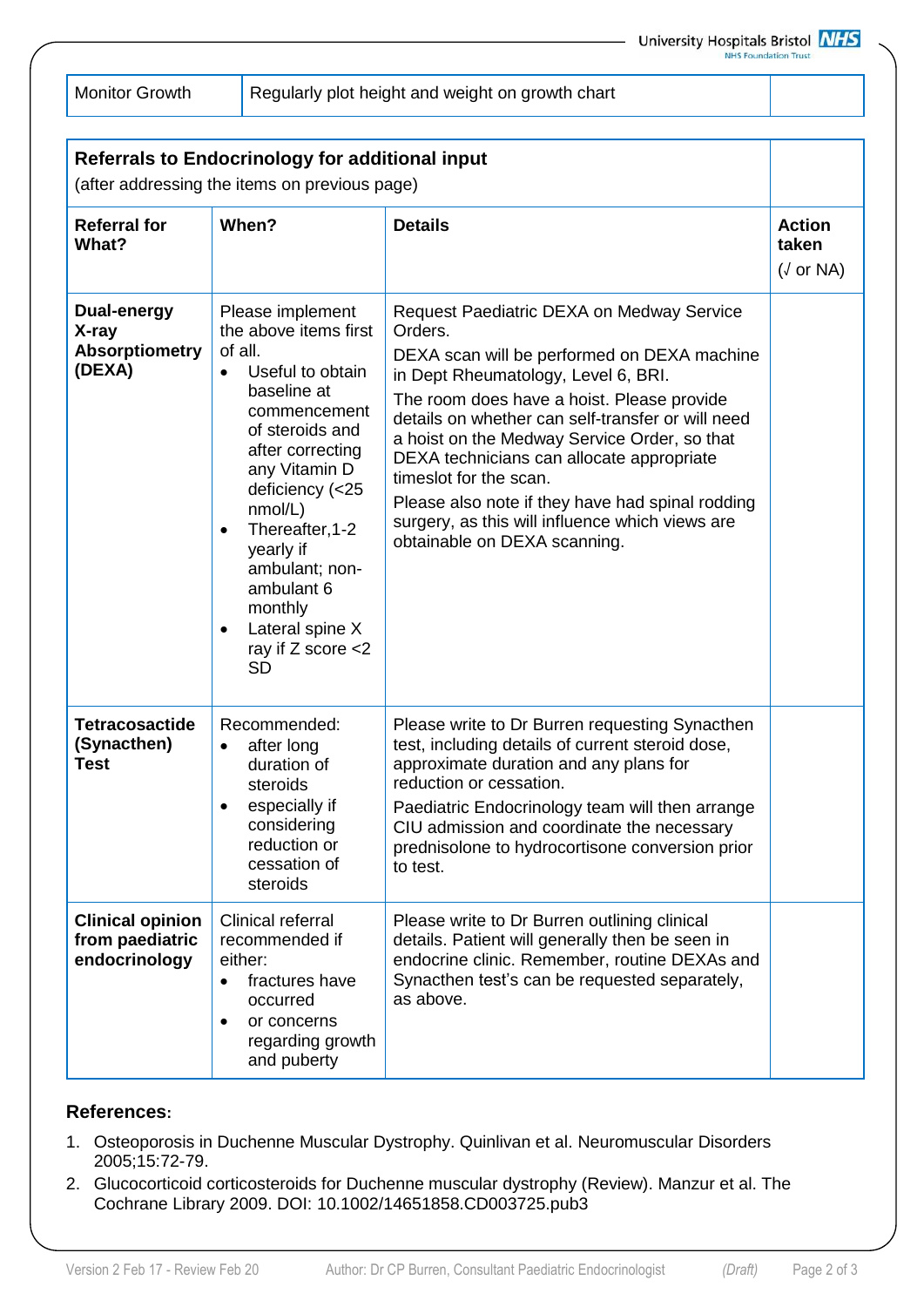Monitor Growth Regularly plot height and weight on growth chart

| <b>Referrals to Endocrinology for additional input</b><br>(after addressing the items on previous page) |                                                                                                                                                                                                                                                                                                                                                                           |                                                                                                                                                                                                                                                                                                                                                                                                                                                                                                             |                                            |
|---------------------------------------------------------------------------------------------------------|---------------------------------------------------------------------------------------------------------------------------------------------------------------------------------------------------------------------------------------------------------------------------------------------------------------------------------------------------------------------------|-------------------------------------------------------------------------------------------------------------------------------------------------------------------------------------------------------------------------------------------------------------------------------------------------------------------------------------------------------------------------------------------------------------------------------------------------------------------------------------------------------------|--------------------------------------------|
| <b>Referral for</b><br>What?                                                                            | When?                                                                                                                                                                                                                                                                                                                                                                     | <b>Details</b>                                                                                                                                                                                                                                                                                                                                                                                                                                                                                              | <b>Action</b><br>taken<br>$(\sqrt{or NA})$ |
| <b>Dual-energy</b><br>X-ray<br><b>Absorptiometry</b><br>(DEXA)                                          | Please implement<br>the above items first<br>of all.<br>Useful to obtain<br>$\bullet$<br>baseline at<br>commencement<br>of steroids and<br>after correcting<br>any Vitamin D<br>deficiency (<25<br>nmol/L)<br>Thereafter, 1-2<br>$\bullet$<br>yearly if<br>ambulant; non-<br>ambulant 6<br>monthly<br>Lateral spine X<br>$\bullet$<br>ray if $Z$ score $<$ 2<br><b>SD</b> | Request Paediatric DEXA on Medway Service<br>Orders.<br>DEXA scan will be performed on DEXA machine<br>in Dept Rheumatology, Level 6, BRI.<br>The room does have a hoist. Please provide<br>details on whether can self-transfer or will need<br>a hoist on the Medway Service Order, so that<br>DEXA technicians can allocate appropriate<br>timeslot for the scan.<br>Please also note if they have had spinal rodding<br>surgery, as this will influence which views are<br>obtainable on DEXA scanning. |                                            |
| <b>Tetracosactide</b><br>(Synacthen)<br><b>Test</b>                                                     | Recommended:<br>after long<br>$\bullet$<br>duration of<br>steroids<br>especially if<br>considering<br>reduction or<br>cessation of<br>steroids                                                                                                                                                                                                                            | Please write to Dr Burren requesting Synacthen<br>test, including details of current steroid dose,<br>approximate duration and any plans for<br>reduction or cessation.<br>Paediatric Endocrinology team will then arrange<br>CIU admission and coordinate the necessary<br>prednisolone to hydrocortisone conversion prior<br>to test.                                                                                                                                                                     |                                            |
| <b>Clinical opinion</b><br>from paediatric<br>endocrinology                                             | Clinical referral<br>recommended if<br>either:<br>fractures have<br>$\bullet$<br>occurred<br>or concerns<br>regarding growth<br>and puberty                                                                                                                                                                                                                               | Please write to Dr Burren outlining clinical<br>details. Patient will generally then be seen in<br>endocrine clinic. Remember, routine DEXAs and<br>Synacthen test's can be requested separately,<br>as above.                                                                                                                                                                                                                                                                                              |                                            |

## **References:**

- 1. Osteoporosis in Duchenne Muscular Dystrophy. Quinlivan et al. Neuromuscular Disorders 2005;15:72-79.
- 2. Glucocorticoid corticosteroids for Duchenne muscular dystrophy (Review). Manzur et al. The Cochrane Library 2009. DOI: 10.1002/14651858.CD003725.pub3